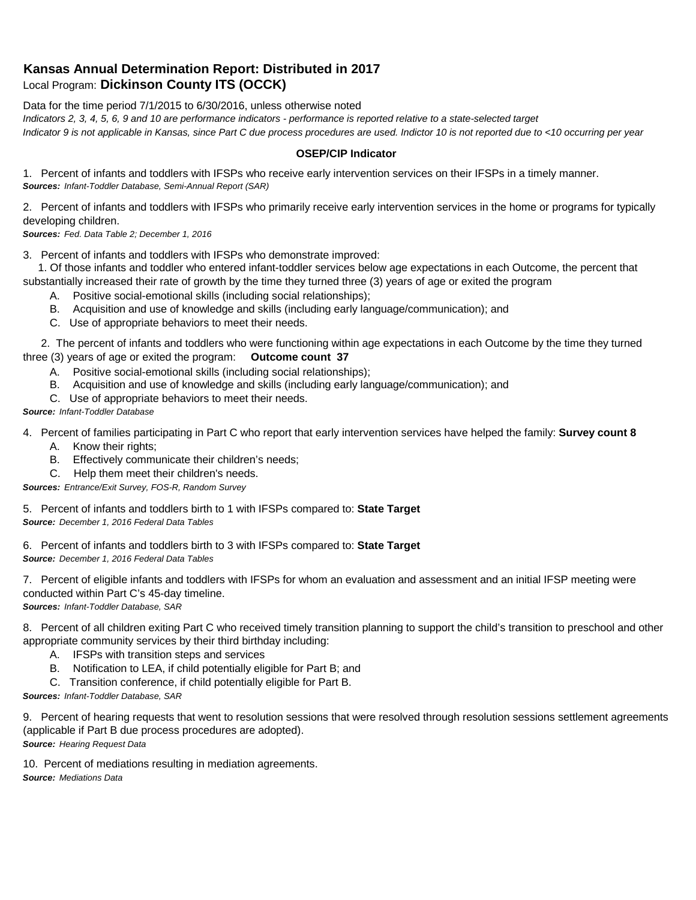## **Kansas Annual Determination Report: Distributed in 2017** Local Program: **Dickinson County ITS (OCCK)**

Data for the time period 7/1/2015 to 6/30/2016, unless otherwise noted

*Indicators 2, 3, 4, 5, 6, 9 and 10 are performance indicators - performance is reported relative to a state-selected target*

*Indicator 9 is not applicable in Kansas, since Part C due process procedures are used. Indictor 10 is not reported due to <10 occurring per year*

## **OSEP/CIP Indicator**

1. Percent of infants and toddlers with IFSPs who receive early intervention services on their IFSPs in a timely manner. *Sources: Infant-Toddler Database, Semi-Annual Report (SAR)* 

2. Percent of infants and toddlers with IFSPs who primarily receive early intervention services in the home or programs for typically developing children.

*Sources: Fed. Data Table 2; December 1, 2016*

3. Percent of infants and toddlers with IFSPs who demonstrate improved:

 1. Of those infants and toddler who entered infant-toddler services below age expectations in each Outcome, the percent that substantially increased their rate of growth by the time they turned three (3) years of age or exited the program

- A. Positive social-emotional skills (including social relationships);
- B. Acquisition and use of knowledge and skills (including early language/communication); and
- C. Use of appropriate behaviors to meet their needs.

 2. The percent of infants and toddlers who were functioning within age expectations in each Outcome by the time they turned three (3) years of age or exited the program: **Outcome count 37**

- A. Positive social-emotional skills (including social relationships);
- B. Acquisition and use of knowledge and skills (including early language/communication); and
- C. Use of appropriate behaviors to meet their needs.

## *Source: Infant-Toddler Database*

4. Percent of families participating in Part C who report that early intervention services have helped the family: **Survey count 8**

- A. Know their rights;
- B. Effectively communicate their children's needs;
- C. Help them meet their children's needs.

*Sources: Entrance/Exit Survey, FOS-R, Random Survey*

5. Percent of infants and toddlers birth to 1 with IFSPs compared to: **State Target** *Source: December 1, 2016 Federal Data Tables*

6. Percent of infants and toddlers birth to 3 with IFSPs compared to: **State Target** *Source: December 1, 2016 Federal Data Tables*

7. Percent of eligible infants and toddlers with IFSPs for whom an evaluation and assessment and an initial IFSP meeting were conducted within Part C's 45-day timeline.

*Sources: Infant-Toddler Database, SAR*

8. Percent of all children exiting Part C who received timely transition planning to support the child's transition to preschool and other appropriate community services by their third birthday including:

- A. IFSPs with transition steps and services
- B. Notification to LEA, if child potentially eligible for Part B; and
- C. Transition conference, if child potentially eligible for Part B.

*Sources: Infant-Toddler Database, SAR*

9. Percent of hearing requests that went to resolution sessions that were resolved through resolution sessions settlement agreements (applicable if Part B due process procedures are adopted). *Source: Hearing Request Data*

10. Percent of mediations resulting in mediation agreements. *Source: Mediations Data*